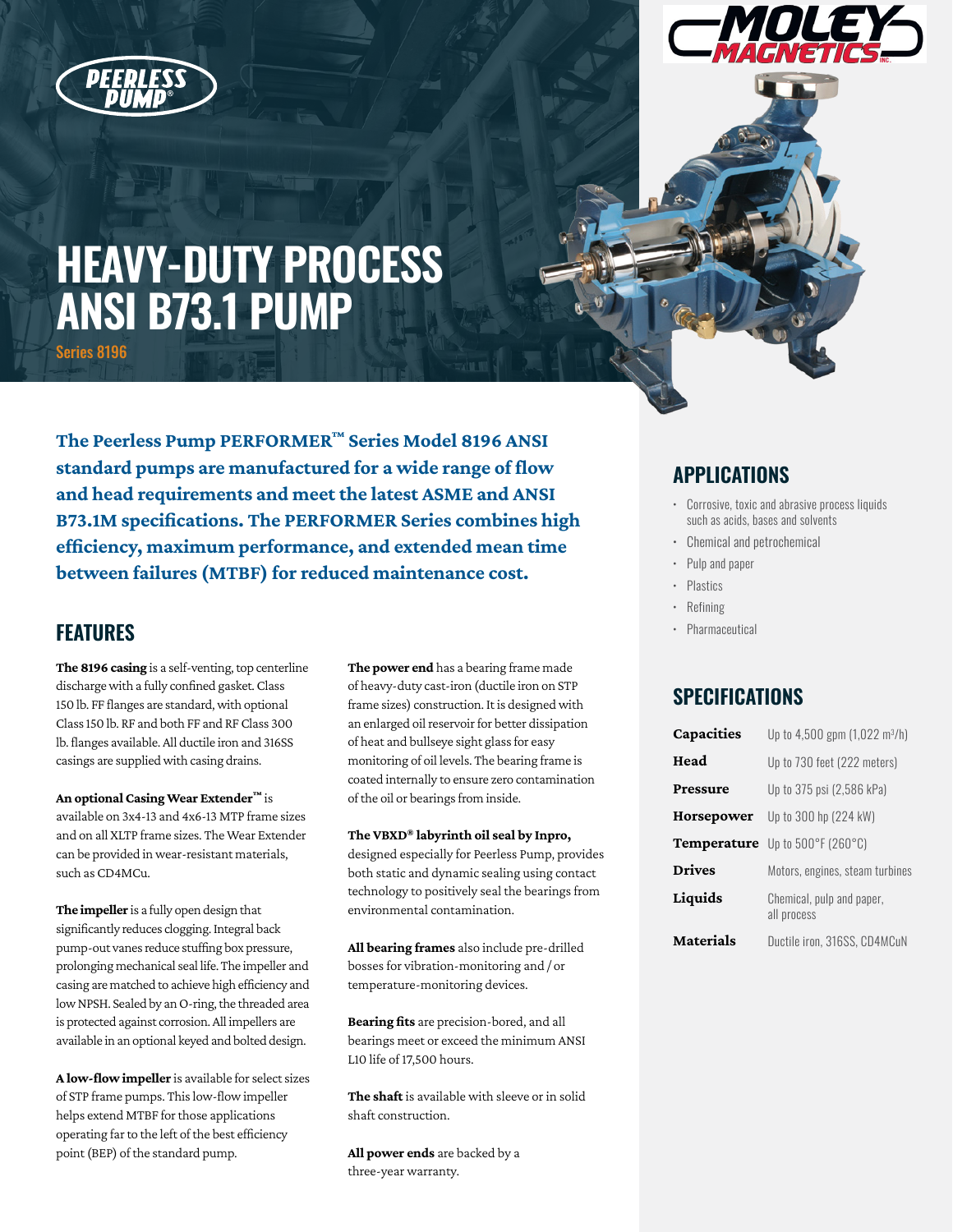



# **HEAVY-DUTY PROCESS ANSI B73.1 PUMP**

Series 8196

**The Peerless Pump PERFORMER™ Series Model 8196 ANSI standard pumps are manufactured for a wide range of flow and head requirements and meet the latest ASME and ANSI B73.1M specifications. The PERFORMER Series combines high efficiency, maximum performance, and extended mean time between failures (MTBF) for reduced maintenance cost.**

### **FEATURES**

**The 8196 casing** is a self-venting, top centerline discharge with a fully confined gasket. Class 150 lb. FF flanges are standard, with optional Class 150 lb. RF and both FF and RF Class 300 lb. flanges available. All ductile iron and 316SS casings are supplied with casing drains.

**An optional Casing Wear Extender™** is available on 3x4-13 and 4x6-13 MTP frame sizes and on all XLTP frame sizes. The Wear Extender can be provided in wear-resistant materials, such as CD4MCu.

**The impeller** is a fully open design that significantly reduces clogging. Integral back pump-out vanes reduce stuffing box pressure, prolonging mechanical seal life. The impeller and casing are matched to achieve high efficiency and low NPSH. Sealed by an O-ring, the threaded area is protected against corrosion. All impellers are available in an optional keyed and bolted design.

**A low-flow impeller** is available for select sizes of STP frame pumps. This low-flow impeller helps extend MTBF for those applications operating far to the left of the best efficiency point (BEP) of the standard pump.

**The power end** has a bearing frame made of heavy-duty cast-iron (ductile iron on STP frame sizes) construction. It is designed with an enlarged oil reservoir for better dissipation of heat and bullseye sight glass for easy monitoring of oil levels. The bearing frame is coated internally to ensure zero contamination of the oil or bearings from inside.

#### **The VBXD® labyrinth oil seal by Inpro,**

designed especially for Peerless Pump, provides both static and dynamic sealing using contact technology to positively seal the bearings from environmental contamination.

**All bearing frames** also include pre-drilled bosses for vibration-monitoring and / or temperature-monitoring devices.

**Bearing fits** are precision-bored, and all bearings meet or exceed the minimum ANSI L10 life of 17,500 hours.

**The shaft** is available with sleeve or in solid shaft construction.

**All power ends** are backed by a three-year warranty.

#### **APPLICATIONS**

- Corrosive, toxic and abrasive process liquids such as acids, bases and solvents
- Chemical and petrochemical
- Pulp and paper
- Plastics
- Refining
- Pharmaceutical

#### **SPECIFICATIONS**

| Capacities       | Up to 4,500 gpm (1,022 m <sup>3</sup> /h) |
|------------------|-------------------------------------------|
| Head             | Up to 730 feet (222 meters)               |
| Pressure         | Up to 375 psi (2,586 kPa)                 |
| Horsepower       | Up to 300 hp (224 kW)                     |
| Temperature      | Up to 500°F (260°C)                       |
| <b>Drives</b>    | Motors, engines, steam turbines           |
| Liquids          | Chemical, pulp and paper,<br>all process  |
| <b>Materials</b> | Ductile iron, 316SS, CD4MCuN              |